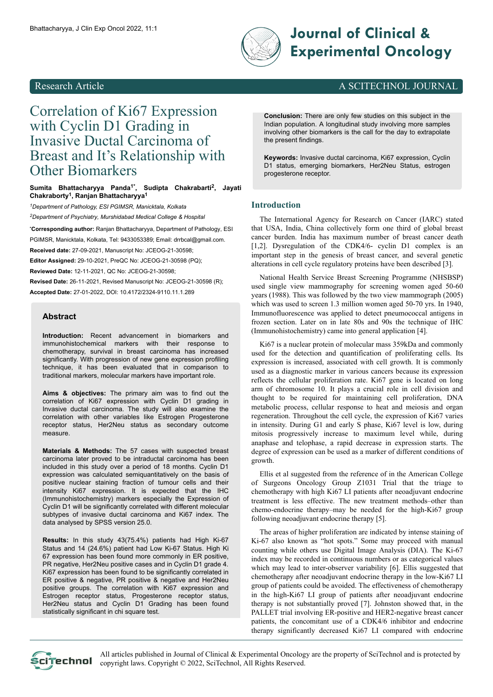

# Bhattacharyya, J Clin Exp Oncol 2022, 11:1 **Experimental Oncology**

### Research Article A SCITECHNOL JOURNAL

## Correlation of Ki67 Expression with Cyclin D1 Grading in Invasive Ductal Carcinoma of Breast and It's Relationship with Other Biomarkers

**Sumita Bhattacharyya Panda1\* , Sudipta Chakrabarti<sup>2</sup> , Jayati Chakraborty<sup>1</sup> , Ranjan Bhattacharyya<sup>1</sup>**

*<sup>1</sup>Department of Pathology, ESI PGIMSR, Manicktala, Kolkata <sup>2</sup>Department of Psychiatry, Murshidabad Medical College & Hospital*

**\*Corresponding author:** Ranjan Bhattacharyya, Department of Pathology, ESI PGIMSR, Manicktala, Kolkata, Tel: 9433053389; Email: [drrbcal@gmail.com.](mailto:drrbcal@gmail.com.)

**Received date:** 27-09-2021, Manuscript No: JCEOG-21-30598;

**Editor Assigned:** 29-10-2021, PreQC No: JCEOG-21-30598 (PQ);

**Reviewed Date:** 12-11-2021, QC No: JCEOG-21-30598;

**Revised Date:** 26-11-2021, Revised Manuscript No: JCEOG-21-30598 (R); **Accepted Date:** 27-01-2022, DOI: 10.4172/2324-9110.11.1.289

#### **Abstract**

**Introduction:** Recent advancement in biomarkers and immunohistochemical markers with their response to chemotherapy, survival in breast carcinoma has increased significantly. With progression of new gene expression profiling technique, it has been evaluated that in comparison to traditional markers, molecular markers have important role.

**Aims & objectives:** The primary aim was to find out the correlation of Ki67 expression with Cyclin D1 grading in Invasive ductal carcinoma. The study will also examine the correlation with other variables like Estrogen Progesterone receptor status, Her2Neu status as secondary outcome measure.

**Materials & Methods:** The 57 cases with suspected breast carcinoma later proved to be intraductal carcinoma has been included in this study over a period of 18 months. Cyclin D1 expression was calculated semiquantitatively on the basis of positive nuclear staining fraction of tumour cells and their intensity Ki67 expression. It is expected that the IHC (Immunohistochemistry) markers especially the Expression of Cyclin D1 will be significantly correlated with different molecular subtypes of invasive ductal carcinoma and Ki67 index. The data analysed by SPSS version 25.0.

**Results:** In this study 43(75.4%) patients had High Ki-67 Status and 14 (24.6%) patient had Low Ki-67 Status. High Ki 67 expression has been found more commonly in ER positive, PR negative, Her2Neu positive cases and in Cyclin D1 grade 4. Ki67 expression has been found to be significantly correlated in ER positive & negative, PR positive & negative and Her2Neu positive groups. The correlation with Ki67 expression and Estrogen receptor status, Progesterone receptor status, Her2Neu status and Cyclin D1 Grading has been found statistically significant in chi square test.

**Conclusion:** There are only few studies on this subject in the Indian population. A longitudinal study involving more samples involving other biomarkers is the call for the day to extrapolate the present findings.

**Keywords:** Invasive ductal carcinoma, Ki67 expression, Cyclin D1 status, emerging biomarkers, Her2Neu Status, estrogen progesterone receptor.

#### **Introduction**

The International Agency for Research on Cancer (IARC) stated that USA, India, China collectively form one third of global breast cancer burden. India has maximum number of breast cancer death [1,2]. Dysregulation of the CDK4/6- cyclin D1 complex is an important step in the genesis of breast cancer, and several genetic alterations in cell cycle regulatory proteins have been described [3].

National Health Service Breast Screening Programme (NHSBSP) used single view mammography for screening women aged 50-60 years (1988). This was followed by the two view mammograph (2005) which was used to screen 1.3 million women aged 50-70 yrs. In 1940, Immunofluorescence was applied to detect pneumococcal antigens in frozen section. Later on in late 80s and 90s the technique of IHC (Immunohistochemistry) came into general application [4].

Ki67 is a nuclear protein of molecular mass 359kDa and commonly used for the detection and quantification of proliferating cells. Its expression is increased, associated with cell growth. It is commonly used as a diagnostic marker in various cancers because its expression reflects the cellular proliferation rate. Ki67 gene is located on long arm of chromosome 10. It plays a crucial role in cell division and thought to be required for maintaining cell proliferation, DNA metabolic process, cellular response to heat and meiosis and organ regeneration. Throughout the cell cycle, the expression of Ki67 varies in intensity. During G1 and early S phase, Ki67 level is low, during mitosis progressively increase to maximum level while, during anaphase and telophase, a rapid decrease in expression starts. The degree of expression can be used as a marker of different conditions of growth.

Ellis et al suggested from the reference of in the American College of Surgeons Oncology Group Z1031 Trial that the triage to chemotherapy with high Ki67 LI patients after neoadjuvant endocrine treatment is less effective. The new treatment methods–other than chemo-endocrine therapy–may be needed for the high-Ki67 group following neoadjuvant endocrine therapy [5].

The areas of higher proliferation are indicated by intense staining of Ki-67 also known as "hot spots." Some may proceed with manual counting while others use Digital Image Analysis (DIA). The Ki-67 index may be recorded in continuous numbers or as categorical values which may lead to inter-observer variability [6]. Ellis suggested that chemotherapy after neoadjuvant endocrine therapy in the low-Ki67 LI group of patients could be avoided. The effectiveness of chemotherapy in the high-Ki67 LI group of patients after neoadjuvant endocrine therapy is not substantially proved [7]. Johnston showed that, in the PALLET trial involving ER-positive and HER2-negative breast cancer patients, the concomitant use of a CDK4/6 inhibitor and endocrine therapy significantly decreased Ki67 LI compared with endocrine

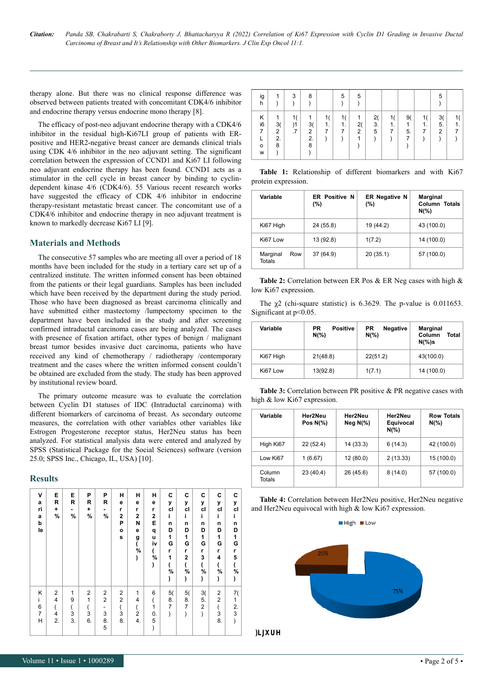therapy alone. But there was no clinical response difference was observed between patients treated with concomitant CDK4/6 inhibitor and endocrine therapy versus endocrine mono therapy [8].

The efficacy of post-neo adjuvant endocrine therapy with a CDK4/6 inhibitor in the residual high-Ki67LI group of patients with ERpositive and HER2-negative breast cancer are demands clinical trials using CDK 4/6 inhibitor in the neo adjuvant setting. The significant correlation between the expression of CCND1 and Ki67 LI following neo adjuvant endocrine therapy has been found. CCND1 acts as a stimulator in the cell cycle in breast cancer by binding to cyclindependent kinase 4/6 (CDK4/6). 55 Various recent research works have suggested the efficacy of CDK 4/6 inhibitor in endocrine therapy-resistant metastatic breast cancer. The concomitant use of a CDK4/6 inhibitor and endocrine therapy in neo adjuvant treatment is known to markedly decrease Ki67 LI [9].

#### **Materials and Methods**

The consecutive 57 samples who are meeting all over a period of 18 months have been included for the study in a tertiary care set up of a centralized institute. The written informed consent has been obtained from the patients or their legal guardians. Samples has been included which have been received by the department during the study period. Those who have been diagnosed as breast carcinoma clinically and have submitted either mastectomy /lumpectomy specimen to the department have been included in the study and after screening confirmed intraductal carcinoma cases are being analyzed. The cases with presence of fixation artifact, other types of benign / malignant breast tumor besides invasive duct carcinoma, patients who have received any kind of chemotherapy / radiotherapy /contemporary treatment and the cases where the written informed consent couldn't be obtained are excluded from the study. The study has been approved by institutional review board.

The primary outcome measure was to evaluate the correlation between Cyclin D1 statuses of IDC (Intraductal carcinoma) with different biomarkers of carcinoma of breast. As secondary outcome measures, the correlation with other variables other variables like Estrogen Progesterone receptor status, Her2Neu status has been analyzed. For statistical analysis data were entered and analyzed by SPSS (Statistical Package for the Social Sciences) software (version 25.0; SPSS Inc., Chicago, IL, USA) [10].

#### **Results**

| V<br>a<br>ri<br>a<br>þ<br>le       | E<br>R<br>٠<br>%               | Е<br>R<br>$\blacksquare$<br>%  | P<br>R<br>٠<br>%                                 | P<br>R<br>٠<br>%                         | н<br>е<br>r<br>$\overline{2}$<br>P<br>$\mathbf{o}$<br>s | н<br>е<br>r<br>$\overline{2}$<br>N<br>e<br>g<br>(<br>$\%$<br>) | н<br>е<br>r<br>$\mathbf{2}$<br>Е<br>q<br>u<br>iv<br>$\int\limits_{\gamma_0}$<br>) | C<br>У<br>cl<br>i<br>n<br>D<br>1<br>G<br>r<br>1<br>(<br>$\dot{\gamma_{\rm o}}$<br>) | C<br>y<br>cl<br>i.<br>n<br>D<br>$\mathbf{1}$<br>G<br>r<br>$\overline{\mathbf{2}}$<br>$\overline{(}$<br>$\%$<br>) | С<br>y<br>cl<br>Î.<br>n<br>D<br>1<br>G<br>r<br>3<br>(<br>%<br>) | C<br>y<br>cl<br>i<br>n<br>D<br>1<br>G<br>r<br>4<br>(<br>%<br>) | C<br>у<br>cl<br>Î.<br>n<br>D<br>1<br>G<br>r<br>5<br>(<br>%<br>) |
|------------------------------------|--------------------------------|--------------------------------|--------------------------------------------------|------------------------------------------|---------------------------------------------------------|----------------------------------------------------------------|-----------------------------------------------------------------------------------|-------------------------------------------------------------------------------------|------------------------------------------------------------------------------------------------------------------|-----------------------------------------------------------------|----------------------------------------------------------------|-----------------------------------------------------------------|
| Κ<br>Ĺ<br>6<br>$\overline{7}$<br>Η | $\overline{2}$<br>4<br>4<br>2. | 1<br>9<br>(<br>$\dot{3}$<br>3. | $\overline{2}$<br>$\overline{1}$<br>(<br>3<br>6. | 2<br>$\overline{c}$<br>-<br>3<br>8.<br>5 | $\overline{2}$<br>2<br>(<br>3<br>8.                     | 1<br>4<br>(<br>$\overline{2}$<br>4.                            | 6<br>(<br>1<br>0.<br>5<br>$\mathcal{E}$                                           | 5(<br>8.<br>$\overline{7}$<br>)                                                     | 5(<br>8.<br>$\overline{7}$<br>$\mathcal{E}$                                                                      | 3(<br>5.<br>2<br>)                                              | $\overline{c}$<br>2<br>$\overline{(}$<br>3<br>8.               | 7(<br>1<br>2.<br>3<br>$\lambda$                                 |

| ig<br>h                      | 1                                    | 3        | 8                                    |         | 5            | 5                    |               |               |                    |               | 5                          |  |
|------------------------------|--------------------------------------|----------|--------------------------------------|---------|--------------|----------------------|---------------|---------------|--------------------|---------------|----------------------------|--|
| Κ<br>i6<br>7<br>$\circ$<br>W | 1<br>3(<br>$\overline{2}$<br>2.<br>8 | )1<br>.7 | 1<br>3(<br>$\overline{2}$<br>2.<br>8 | 1.<br>7 | 1<br>1.<br>7 | 2(<br>$\overline{2}$ | 2(<br>3.<br>5 | 1(<br>1.<br>7 | 9(<br>1<br>5.<br>7 | 1(<br>1.<br>7 | 3(<br>5.<br>$\overline{2}$ |  |

**Table 1:** Relationship of different biomarkers and with Ki67 protein expression.

| Variable                         | <b>ER Positive N</b><br>$(\% )$ | <b>ER Negative N</b><br>(%) | <b>Marginal</b><br>Column Totals<br>$N(\%)$ |
|----------------------------------|---------------------------------|-----------------------------|---------------------------------------------|
| Ki67 High                        | 24 (55.8)                       | 19 (44.2)                   | 43 (100.0)                                  |
| Ki67 Low                         | 13 (92.8)                       | 1(7.2)                      | 14 (100.0)                                  |
| Marginal<br>Row<br><b>Totals</b> | 37 (64.9)                       | 20(35.1)                    | 57 (100.0)                                  |

**Table 2:** Correlation between ER Pos & ER Neg cases with high & low Ki67 expression.

The  $\chi$ 2 (chi-square statistic) is 6.3629. The p-value is 0.011653. Significant at p<0.05.

| Variable  | <b>PR</b><br><b>Positive</b><br>$N(\%)$ | <b>Negative</b><br>PR<br>$N(\%)$ | <b>Marginal</b><br>Column<br>Total<br>$N(\%)s$ |
|-----------|-----------------------------------------|----------------------------------|------------------------------------------------|
| Ki67 High | 21(48.8)                                | 22(51.2)                         | 43(100.0)                                      |
| Ki67 Low  | 13(92.8)                                | 1(7.1)                           | 14 (100.0)                                     |

**Table 3:** Correlation between PR positive & PR negative cases with high & low Ki67 expression.

| Variable         | Her2Neu<br>Pos $N(\%)$ | Her2Neu<br>Neg $N(\%)$ | Her2Neu<br>Equivocal<br>$N(\% )$ | <b>Row Totals</b><br>$N(\%)$ |
|------------------|------------------------|------------------------|----------------------------------|------------------------------|
| High Ki67        | 22(52.4)               | 14(33.3)               | 6(14.3)                          | 42 (100.0)                   |
| Low Ki67         | 1(6.67)                | 12(80.0)               | 2(13.33)                         | 15 (100.0)                   |
| Column<br>Totals | 23(40.4)               | 26(45.6)               | 8(14.0)                          | 57 (100.0)                   |



 $High$  Elow



Figure 1: Break up of Ki67 status of the sample.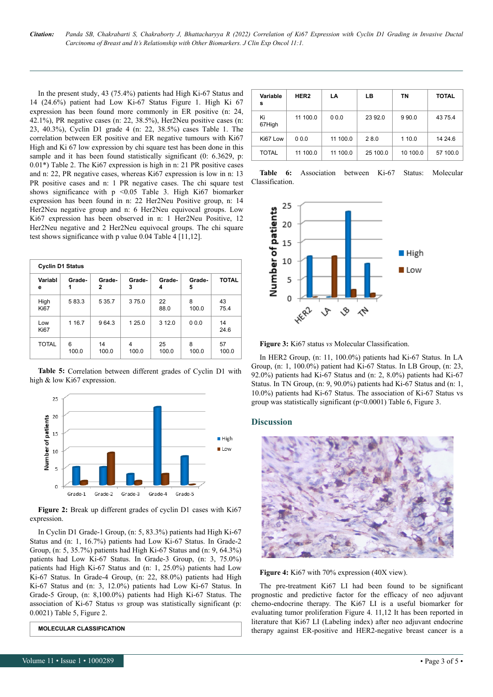*Citation: Panda SB, Chakrabarti S, Chakraborty J, Bhattacharyya R (2022) Correlation of Ki67 Expression with Cyclin D1 Grading in Invasive Ductal Carcinoma of Breast and It's Relationship with Other Biomarkers. J Clin Exp Oncol 11:1.*

In the present study, 43 (75.4%) patients had High Ki-67 Status and 14 (24.6%) patient had Low Ki-67 Status Figure 1. High Ki 67 expression has been found more commonly in ER positive (n: 24, 42.1%), PR negative cases (n: 22, 38.5%), Her2Neu positive cases (n: 23, 40.3%), Cyclin D1 grade 4 (n: 22, 38.5%) cases Table 1. The correlation between ER positive and ER negative tumours with Ki67 High and Ki 67 low expression by chi square test has been done in this sample and it has been found statistically significant (0: 6.3629, p: 0.01\*) Table 2. The Ki67 expression is high in n: 21 PR positive cases and n: 22, PR negative cases, whereas Ki67 expression is low in n: 13 PR positive cases and n: 1 PR negative cases. The chi square test shows significance with  $p \le 0.05$  Table 3. High Ki67 biomarker expression has been found in n: 22 Her2Neu Positive group, n: 14 Her2Neu negative group and n: 6 Her2Neu equivocal groups. Low Ki67 expression has been observed in n: 1 Her2Neu Positive, 12 Her2Neu negative and 2 Her2Neu equivocal groups. The chi square test shows significance with p value 0.04 Table 4 [11,12].

|                     | <b>Cyclin D1 Status</b> |             |             |             |             |              |  |  |  |  |
|---------------------|-------------------------|-------------|-------------|-------------|-------------|--------------|--|--|--|--|
| Variabl<br>е        | Grade-<br>1             | Grade-<br>2 | Grade-<br>3 | Grade-<br>4 | Grade-<br>5 | <b>TOTAL</b> |  |  |  |  |
| High<br><b>Ki67</b> | 583.3                   | 5 3 5.7     | 375.0       | 22<br>88.0  | 8<br>100.0  | 43<br>75.4   |  |  |  |  |
| Low<br><b>Ki67</b>  | 1 1 6.7                 | 964.3       | 1 25.0      | 3 1 2 .0    | 0.0.0       | 14<br>24.6   |  |  |  |  |
| <b>TOTAL</b>        | 6<br>100.0              | 14<br>100.0 | 4<br>100.0  | 25<br>100.0 | 8<br>100.0  | 57<br>100.0  |  |  |  |  |

**Table 5:** Correlation between different grades of Cyclin D1 with high & low Ki67 expression.



**Figure 2:** Break up different grades of cyclin D1 cases with Ki67 expression.

In Cyclin D1 Grade-1 Group, (n: 5, 83.3%) patients had High Ki-67 Status and (n: 1, 16.7%) patients had Low Ki-67 Status. In Grade-2 Group, (n: 5, 35.7%) patients had High Ki-67 Status and (n: 9, 64.3%) patients had Low Ki-67 Status. In Grade-3 Group, (n: 3, 75.0%) patients had High Ki-67 Status and (n: 1, 25.0%) patients had Low Ki-67 Status. In Grade-4 Group, (n: 22, 88.0%) patients had High Ki-67 Status and (n: 3, 12.0%) patients had Low Ki-67 Status. In Grade-5 Group, (n: 8,100.0%) patients had High Ki-67 Status. The association of Ki-67 Status *vs* group was statistically significant (p: 0.0021) Table 5, Figure 2.

**MOLECULAR CLASSIFICATION**

| Variable<br>s | HER <sub>2</sub> | LA       | LВ       | ΤN       | <b>TOTAL</b> |
|---------------|------------------|----------|----------|----------|--------------|
| Ki<br>67High  | 11 100.0         | 0.0.0    | 23 92.0  | 9 9 0.0  | 4375.4       |
| Ki67 Low      | 0.0.0            | 11 100.0 | 28.0     | 1 10.0   | 14 24 6      |
| <b>TOTAL</b>  | 11 100.0         | 11 100.0 | 25 100.0 | 10 100.0 | 57 100.0     |

**Table 6:** Association between Ki-67 Status: Molecular Classification.



**Figure 3:** Ki67 status *vs* Molecular Classification.

In HER2 Group, (n: 11, 100.0%) patients had Ki-67 Status. In LA Group, (n: 1, 100.0%) patient had Ki-67 Status. In LB Group, (n: 23, 92.0%) patients had Ki-67 Status and (n: 2, 8.0%) patients had Ki-67 Status. In TN Group, (n: 9, 90.0%) patients had Ki-67 Status and (n: 1, 10.0%) patients had Ki-67 Status. The association of Ki-67 Status vs group was statistically significant (p<0.0001) Table 6, Figure 3.

#### **Discussion**



**Figure 4:** Ki67 with 70% expression (40X view).

The pre-treatment Ki67 LI had been found to be significant prognostic and predictive factor for the efficacy of neo adjuvant chemo-endocrine therapy. The Ki67 LI is a useful biomarker for evaluating tumor proliferation Figure 4. 11,12 It has been reported in literature that Ki67 LI (Labeling index) after neo adjuvant endocrine therapy against ER-positive and HER2-negative breast cancer is a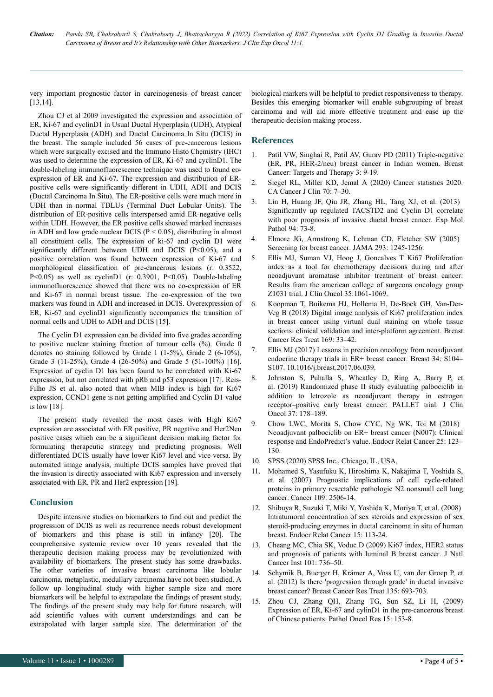very important prognostic factor in carcinogenesis of breast cancer [13,14].

Zhou CJ et al 2009 investigated the expression and association of ER, Ki-67 and cyclinD1 in Usual Ductal Hyperplasia (UDH), Atypical Ductal Hyperplasia (ADH) and Ductal Carcinoma In Situ (DCIS) in the breast. The sample included 56 cases of pre-cancerous lesions which were surgically excised and the Immuno Histo Chemistry (IHC) was used to determine the expression of ER, Ki-67 and cyclinD1. The double-labeling immunofluorescence technique was used to found coexpression of ER and Ki-67. The expression and distribution of ERpositive cells were significantly different in UDH, ADH and DCIS (Ductal Carcinoma In Situ). The ER-positive cells were much more in UDH than in normal TDLUs (Terminal Duct Lobular Units). The distribution of ER-positive cells interspersed amid ER-negative cells within UDH. However, the ER positive cells showed marked increases in ADH and low grade nuclear DCIS ( $P \le 0.05$ ), distributing in almost all constituent cells. The expression of ki-67 and cyclin D1 were significantly different between UDH and DCIS (P<0.05), and a positive correlation was found between expression of Ki-67 and morphological classification of pre-cancerous lesions (r: 0.3522, P<0.05) as well as cyclinD1 (r: 0.3901, P<0.05). Double-labeling immunofluorescence showed that there was no co-expression of ER and Ki-67 in normal breast tissue. The co-expression of the two markers was found in ADH and increased in DCIS. Overexpression of ER, Ki-67 and cyclinD1 significantly accompanies the transition of normal cells and UDH to ADH and DCIS [15].

The Cyclin D1 expression can be divided into five grades according to positive nuclear staining fraction of tumour cells (%). Grade 0 denotes no staining followed by Grade 1 (1-5%), Grade 2 (6-10%), Grade 3 (11-25%), Grade 4 (26-50%) and Grade 5 (51-100%) [16]. Expression of cyclin D1 has been found to be correlated with Ki-67 expression, but not correlated with pRb and p53 expression [17]. Reis-Filho JS et al. also noted that when MIB index is high for Ki67 expression, CCND1 gene is not getting amplified and Cyclin D1 value is low [18].

The present study revealed the most cases with High Ki67 expression are associated with ER positive, PR negative and Her2Neu positive cases which can be a significant decision making factor for formulating therapeutic strategy and predicting prognosis. Well differentiated DCIS usually have lower Ki67 level and vice versa. By automated image analysis, multiple DCIS samples have proved that the invasion is directly associated with Ki67 expression and inversely associated with ER, PR and Her2 expression [19].

#### **Conclusion**

Despite intensive studies on biomarkers to find out and predict the progression of DCIS as well as recurrence needs robust development of biomarkers and this phase is still in infancy [20]. The comprehensive systemic review over 10 years revealed that the therapeutic decision making process may be revolutionized with availability of biomarkers. The present study has some drawbacks. The other varieties of invasive breast carcinoma like lobular carcinoma, metaplastic, medullary carcinoma have not been studied. A follow up longitudinal study with higher sample size and more biomarkers will be helpful to extrapolate the findings of present study. The findings of the present study may help for future research, will add scientific values with current understandings and can be extrapolated with larger sample size. The determination of the biological markers will be helpful to predict responsiveness to therapy. Besides this emerging biomarker will enable subgrouping of breast carcinoma and will aid more effective treatment and ease up the therapeutic decision making process.

#### **References**

- 1. Patil VW, Singhai R, Patil AV, Gurav PD (2011) [Triple-negative](https://www.dovepress.com/triple-negative-er-pgr-her-2neu-breast-cancer-in-indian-women-peer-reviewed-fulltext-article-BCTT) [\(ER, PR, HER-2/neu\) breast cancer in Indian women.](https://www.dovepress.com/triple-negative-er-pgr-her-2neu-breast-cancer-in-indian-women-peer-reviewed-fulltext-article-BCTT) Breast Cancer: Targets and Therapy 3: 9-19.
- 2. Siegel RL, Miller KD, Jemal A (2020) [Cancer statistics 2020](https://acsjournals.onlinelibrary.wiley.com/doi/10.3322/caac.21590). CA Cancer J Clin 70: 7–30.
- Lin H, Huang JF, Qiu JR, Zhang HL, Tang XJ, et al. (2013) [Significantly up regulated TACSTD2 and Cyclin D1 correlate](https://www.sciencedirect.com/science/article/abs/pii/S0014480012001189) [with poor prognosis of invasive ductal breast cancer](https://www.sciencedirect.com/science/article/abs/pii/S0014480012001189). Exp Mol Pathol 94: 73-8.
- 4. Elmore JG, Armstrong K, Lehman CD, Fletcher SW (2005) [Screening for breast cancer.](https://jamanetwork.com/journals/jama/fullarticle/200479) JAMA 293: 1245-1256.
- 5. Ellis MJ, Suman VJ, Hoog J, Goncalves T [Ki67 Proliferation](https://profiles.wustl.edu/en/publications/ki67-proliferation-index-as-a-tool-for-chemotherapy-decisions-dur) [index as a tool for chemotherapy decisions during and after](https://profiles.wustl.edu/en/publications/ki67-proliferation-index-as-a-tool-for-chemotherapy-decisions-dur) [neoadjuvant aromatase inhibitor treatment of breast cancer:](https://profiles.wustl.edu/en/publications/ki67-proliferation-index-as-a-tool-for-chemotherapy-decisions-dur) [Results from the american college of surgeons oncology group](https://profiles.wustl.edu/en/publications/ki67-proliferation-index-as-a-tool-for-chemotherapy-decisions-dur) [Z1031 trial.](https://profiles.wustl.edu/en/publications/ki67-proliferation-index-as-a-tool-for-chemotherapy-decisions-dur) J Clin Oncol 35:1061-1069.
- 6. [Koopman](https://www.ncbi.nlm.nih.gov/pubmed/?term=Koopman%20T%5BAuthor%5D&cauthor=true&cauthor_uid=29349710) T, Buikema HJ, Hollema H, De-Bock GH, Van-Der-Veg B (2018) [Digital image analysis of Ki67 proliferation index](https://link.springer.com/article/10.1007/s10549-018-4669-2) [in breast cancer using virtual dual staining on whole tissue](https://link.springer.com/article/10.1007/s10549-018-4669-2) [sections: clinical validation and inter-platform agreement](https://link.springer.com/article/10.1007/s10549-018-4669-2). [Breast](https://www.ncbi.nlm.nih.gov/pmc/articles/PMC5882622/) [Cancer Res Treat](https://www.ncbi.nlm.nih.gov/pmc/articles/PMC5882622/) 169: 33–42.
- 7. Ellis MJ (2017) [Lessons in precision oncology from neoadjuvant](https://www.sciencedirect.com/science/article/abs/pii/S0960977617305118) [endocrine therapy trials in ER+ breast cancer.](https://www.sciencedirect.com/science/article/abs/pii/S0960977617305118) Breast 34: S104– S107. 10.1016/j.breast.2017.06.039.
- 8. Johnston S, Puhalla S, Wheatley D, Ring A, Barry P, et al. (2019) [Randomized phase II study evaluating palbociclib in](https://pure.qub.ac.uk/en/publications/randomized-phase-ii-study-evaluating-palbociclib-in-addition-to-l) [addition to letrozole as neoadjuvant therapy in estrogen](https://pure.qub.ac.uk/en/publications/randomized-phase-ii-study-evaluating-palbociclib-in-addition-to-l) [receptor–positive early breast cancer: PALLET trial.](https://pure.qub.ac.uk/en/publications/randomized-phase-ii-study-evaluating-palbociclib-in-addition-to-l) J Clin Oncol 37: 178–189.
- 9. Chow LWC, Morita S, Chow CYC, Ng WK, Toi M (2018) [Neoadjuvant palbociclib on ER+ breast cancer \(N007\): Clinical](https://erc.bioscientifica.com/view/journals/erc/25/2/ERC-17-0396.xml) [response and EndoPredict's value](https://erc.bioscientifica.com/view/journals/erc/25/2/ERC-17-0396.xml). Endocr Relat Cancer 25: 123– 130.
- 10. SPSS (2020) SPSS Inc., Chicago, IL, USA.
- 11. Mohamed S, Yasufuku K, Hiroshima K, Nakajima T, Yoshida S, et al. (2007) [Prognostic implications of cell cycle-related](https://www.karger.com/Article/Fulltext/336462) [proteins in primary resectable pathologic N2 nonsmall cell lung](https://www.karger.com/Article/Fulltext/336462) [cancer.](https://www.karger.com/Article/Fulltext/336462) Cancer 109: 2506-14.
- 12. Shibuya R, Suzuki T, Miki Y, Yoshida K, Moriya T, et al. (2008) [Intratumoral concentration of sex steroids and expression of sex](https://erc.bioscientifica.com/view/journals/erc/15/1/113.xml) [steroid-producing enzymes in ductal carcinoma in situ of human](https://erc.bioscientifica.com/view/journals/erc/15/1/113.xml) [breast.](https://erc.bioscientifica.com/view/journals/erc/15/1/113.xml) Endocr Relat Cancer 15: 113-24.
- 13. Cheang MC, Chia SK, Voduc D (2009) [Ki67 index, HER2 status](https://profiles.wustl.edu/en/publications/ki67-index-her2-status-and-prognosis-of-patients-with-luminal-b-b) [and prognosis of patients with luminal B breast cancer.](https://profiles.wustl.edu/en/publications/ki67-index-her2-status-and-prognosis-of-patients-with-luminal-b-b) J Natl Cancer Inst 101: 736–50.
- 14. Schymik B, Buerger H, Krämer A, Voss U, van der Groep P, et al. (2012) [Is there 'progression through grade' in ductal invasive](https://link.springer.com/article/10.1007/s10549-012-2195-1) [breast cancer?](https://link.springer.com/article/10.1007/s10549-012-2195-1) Breast Cancer Res Treat 135: 693-703.
- 15. Zhou CJ, Zhang QH, Zhang TG, Sun SZ, Li H, (2009) [Expression of ER, Ki-67 and cylinD1 in the pre-cancerous breast](https://link.springer.com/article/10.1007/s12253-008-9100-6) [of Chinese patients](https://link.springer.com/article/10.1007/s12253-008-9100-6). Pathol Oncol Res 15: 153-8.